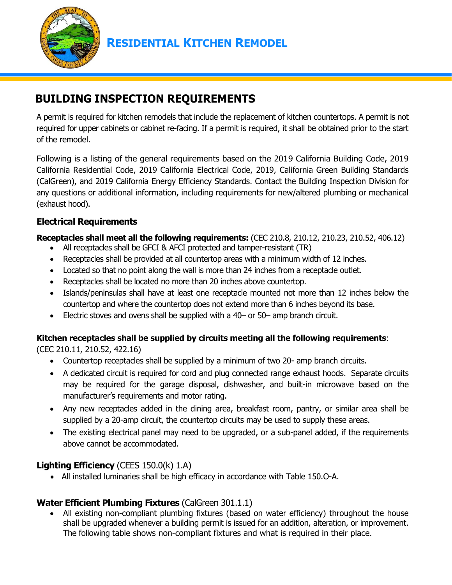

# **BUILDING INSPECTION REQUIREMENTS**

A permit is required for kitchen remodels that include the replacement of kitchen countertops. A permit is not required for upper cabinets or cabinet re-facing. If a permit is required, it shall be obtained prior to the start of the remodel.

Following is a listing of the general requirements based on the 2019 California Building Code, 2019 California Residential Code, 2019 California Electrical Code, 2019, California Green Building Standards (CalGreen), and 2019 California Energy Efficiency Standards. Contact the Building Inspection Division for any questions or additional information, including requirements for new/altered plumbing or mechanical (exhaust hood).

## **Electrical Requirements**

**Receptacles shall meet all the following requirements:** (CEC 210.8, 210.12, 210.23, 210.52, 406.12)

- All receptacles shall be GFCI & AFCI protected and tamper-resistant (TR)
- Receptacles shall be provided at all countertop areas with a minimum width of 12 inches.
- Located so that no point along the wall is more than 24 inches from a receptacle outlet.
- Receptacles shall be located no more than 20 inches above countertop.
- Islands/peninsulas shall have at least one receptacle mounted not more than 12 inches below the countertop and where the countertop does not extend more than 6 inches beyond its base.
- Electric stoves and ovens shall be supplied with a 40– or 50– amp branch circuit.

#### **Kitchen receptacles shall be supplied by circuits meeting all the following requirements**:

(CEC 210.11, 210.52, 422.16)

- Countertop receptacles shall be supplied by a minimum of two 20- amp branch circuits.
- A dedicated circuit is required for cord and plug connected range exhaust hoods. Separate circuits may be required for the garage disposal, dishwasher, and built-in microwave based on the manufacturer's requirements and motor rating.
- Any new receptacles added in the dining area, breakfast room, pantry, or similar area shall be supplied by a 20-amp circuit, the countertop circuits may be used to supply these areas.
- The existing electrical panel may need to be upgraded, or a sub-panel added, if the requirements above cannot be accommodated.

#### **Lighting Efficiency** (CEES 150.0(k) 1.A)

• All installed luminaries shall be high efficacy in accordance with Table 150.O-A.

## **Water Efficient Plumbing Fixtures** (CalGreen 301.1.1)

All existing non-compliant plumbing fixtures (based on water efficiency) throughout the house shall be upgraded whenever a building permit is issued for an addition, alteration, or improvement. The following table shows non-compliant fixtures and what is required in their place.